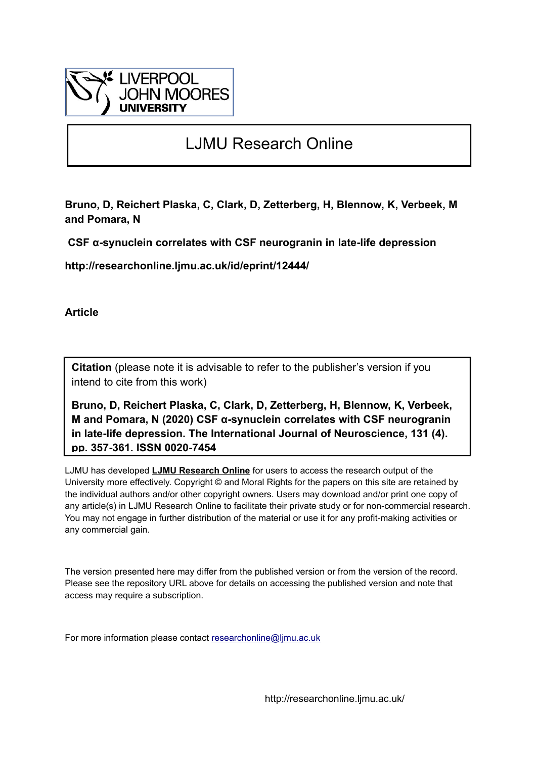

# LJMU Research Online

**Bruno, D, Reichert Plaska, C, Clark, D, Zetterberg, H, Blennow, K, Verbeek, M and Pomara, N**

 **CSF α-synuclein correlates with CSF neurogranin in late-life depression**

**http://researchonline.ljmu.ac.uk/id/eprint/12444/**

**Article**

**Citation** (please note it is advisable to refer to the publisher's version if you intend to cite from this work)

**Bruno, D, Reichert Plaska, C, Clark, D, Zetterberg, H, Blennow, K, Verbeek, M and Pomara, N (2020) CSF α-synuclein correlates with CSF neurogranin in late-life depression. The International Journal of Neuroscience, 131 (4). pp. 357-361. ISSN 0020-7454** 

LJMU has developed **[LJMU Research Online](http://researchonline.ljmu.ac.uk/)** for users to access the research output of the University more effectively. Copyright © and Moral Rights for the papers on this site are retained by the individual authors and/or other copyright owners. Users may download and/or print one copy of any article(s) in LJMU Research Online to facilitate their private study or for non-commercial research. You may not engage in further distribution of the material or use it for any profit-making activities or any commercial gain.

The version presented here may differ from the published version or from the version of the record. Please see the repository URL above for details on accessing the published version and note that access may require a subscription.

For more information please contact [researchonline@ljmu.ac.uk](mailto:researchonline@ljmu.ac.uk)

http://researchonline.ljmu.ac.uk/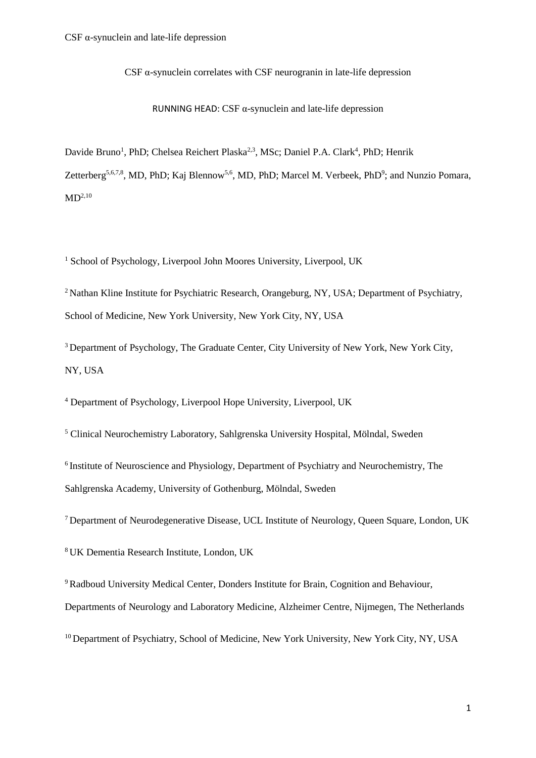CSF  $\alpha$ -synuclein correlates with CSF neurogranin in late-life depression

RUNNING HEAD: CSF  $\alpha$ -synuclein and late-life depression

Davide Bruno<sup>1</sup>, PhD; Chelsea Reichert Plaska<sup>2,3</sup>, MSc; Daniel P.A. Clark<sup>4</sup>, PhD; Henrik Zetterberg<sup>5,6,7,8</sup>, MD, PhD; Kaj Blennow<sup>5,6</sup>, MD, PhD; Marcel M. Verbeek, PhD<sup>9</sup>; and Nunzio Pomara,  $MD<sup>2,10</sup>$ 

<sup>1</sup> School of Psychology, Liverpool John Moores University, Liverpool, UK

<sup>2</sup> Nathan Kline Institute for Psychiatric Research, Orangeburg, NY, USA; Department of Psychiatry, School of Medicine, New York University, New York City, NY, USA

<sup>3</sup> Department of Psychology, The Graduate Center, City University of New York, New York City, NY, USA

<sup>4</sup> Department of Psychology, Liverpool Hope University, Liverpool, UK

<sup>5</sup> Clinical Neurochemistry Laboratory, Sahlgrenska University Hospital, Mölndal, Sweden

<sup>6</sup> Institute of Neuroscience and Physiology, Department of Psychiatry and Neurochemistry, The Sahlgrenska Academy, University of Gothenburg, Mölndal, Sweden

<sup>7</sup> Department of Neurodegenerative Disease, UCL Institute of Neurology, Queen Square, London, UK

<sup>8</sup> UK Dementia Research Institute, London, UK

<sup>9</sup>Radboud University Medical Center, Donders Institute for Brain, Cognition and Behaviour, Departments of Neurology and Laboratory Medicine, Alzheimer Centre, Nijmegen, The Netherlands

<sup>10</sup> Department of Psychiatry, School of Medicine, New York University, New York City, NY, USA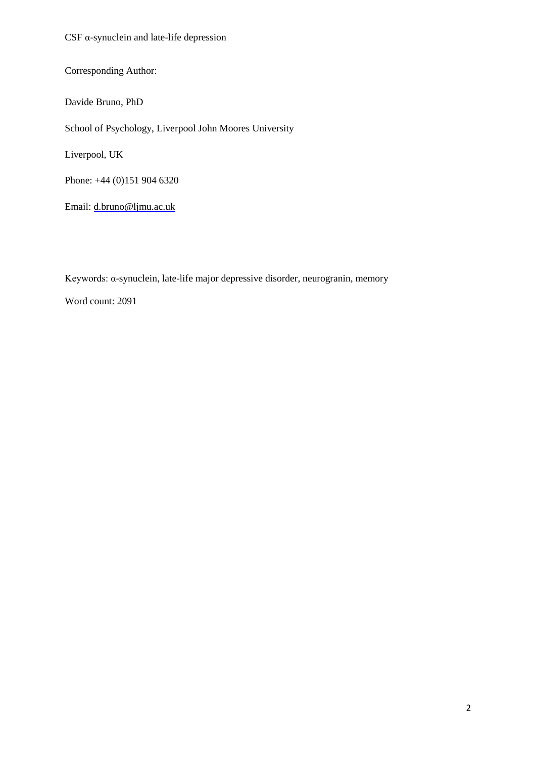CSF α-synuclein and late-life depression

Corresponding Author:

Davide Bruno, PhD

School of Psychology, Liverpool John Moores University

Liverpool, UK

Phone: +44 (0)151 904 6320

Email: d.bruno@ljmu.ac.uk

Keywords: α-synuclein, late-life major depressive disorder, neurogranin, memory

Word count: 2091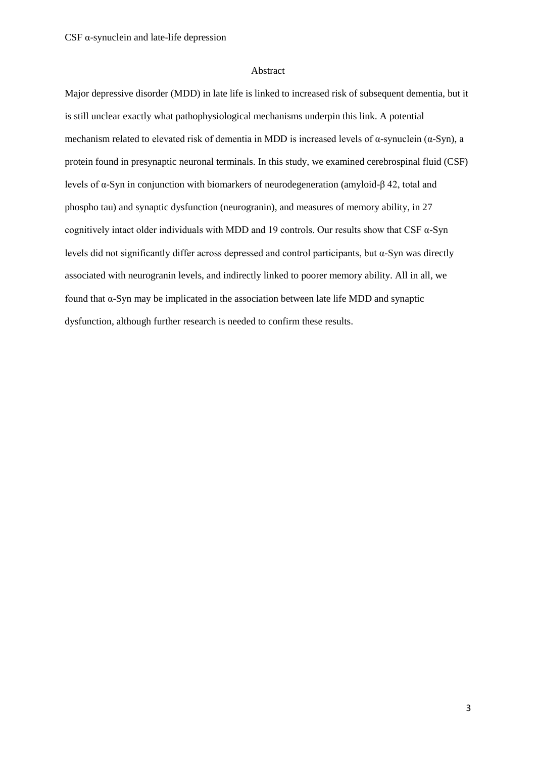## Abstract

Major depressive disorder (MDD) in late life is linked to increased risk of subsequent dementia, but it is still unclear exactly what pathophysiological mechanisms underpin this link. A potential mechanism related to elevated risk of dementia in MDD is increased levels of  $\alpha$ -synuclein ( $\alpha$ -Syn), a protein found in presynaptic neuronal terminals. In this study, we examined cerebrospinal fluid (CSF) levels of α-Syn in conjunction with biomarkers of neurodegeneration (amyloid-β 42, total and phospho tau) and synaptic dysfunction (neurogranin), and measures of memory ability, in 27 cognitively intact older individuals with MDD and 19 controls. Our results show that CSF α-Syn levels did not significantly differ across depressed and control participants, but α-Syn was directly associated with neurogranin levels, and indirectly linked to poorer memory ability. All in all, we found that α-Syn may be implicated in the association between late life MDD and synaptic dysfunction, although further research is needed to confirm these results.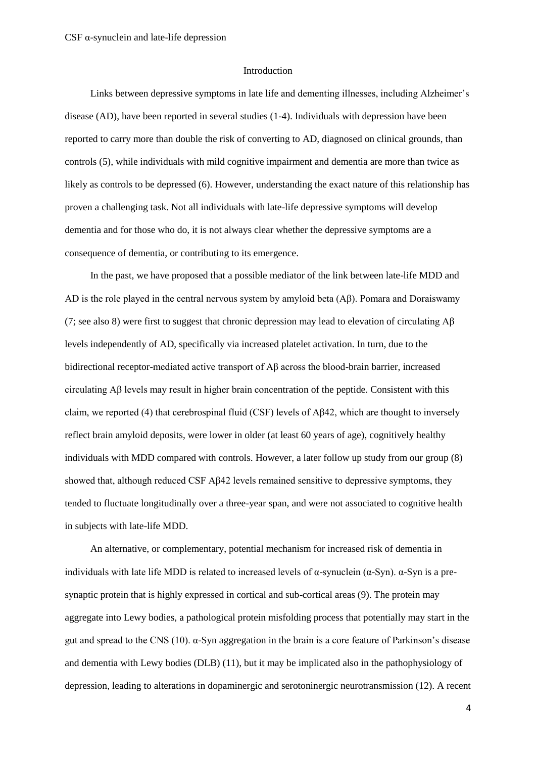#### Introduction

Links between depressive symptoms in late life and dementing illnesses, including Alzheimer's disease (AD), have been reported in several studies (1-4). Individuals with depression have been reported to carry more than double the risk of converting to AD, diagnosed on clinical grounds, than controls (5), while individuals with mild cognitive impairment and dementia are more than twice as likely as controls to be depressed (6). However, understanding the exact nature of this relationship has proven a challenging task. Not all individuals with late-life depressive symptoms will develop dementia and for those who do, it is not always clear whether the depressive symptoms are a consequence of dementia, or contributing to its emergence.

In the past, we have proposed that a possible mediator of the link between late-life MDD and AD is the role played in the central nervous system by amyloid beta  $(A\beta)$ . Pomara and Doraiswamy (7; see also 8) were first to suggest that chronic depression may lead to elevation of circulating  $\mathbf{A}\mathbf{\beta}$ levels independently of AD, specifically via increased platelet activation. In turn, due to the bidirectional receptor-mediated active transport of Aβ across the blood-brain barrier, increased circulating Aβ levels may result in higher brain concentration of the peptide. Consistent with this claim, we reported (4) that cerebrospinal fluid (CSF) levels of  $\mathbf{A}\beta 42$ , which are thought to inversely reflect brain amyloid deposits, were lower in older (at least 60 years of age), cognitively healthy individuals with MDD compared with controls. However, a later follow up study from our group (8) showed that, although reduced CSF Aβ42 levels remained sensitive to depressive symptoms, they tended to fluctuate longitudinally over a three-year span, and were not associated to cognitive health in subjects with late-life MDD.

An alternative, or complementary, potential mechanism for increased risk of dementia in individuals with late life MDD is related to increased levels of  $\alpha$ -synuclein ( $\alpha$ -Syn).  $\alpha$ -Syn is a presynaptic protein that is highly expressed in cortical and sub-cortical areas (9). The protein may aggregate into Lewy bodies, a pathological protein misfolding process that potentially may start in the gut and spread to the CNS (10). α-Syn aggregation in the brain is a core feature of Parkinson's disease and dementia with Lewy bodies (DLB) (11), but it may be implicated also in the pathophysiology of depression, leading to alterations in dopaminergic and serotoninergic neurotransmission (12). A recent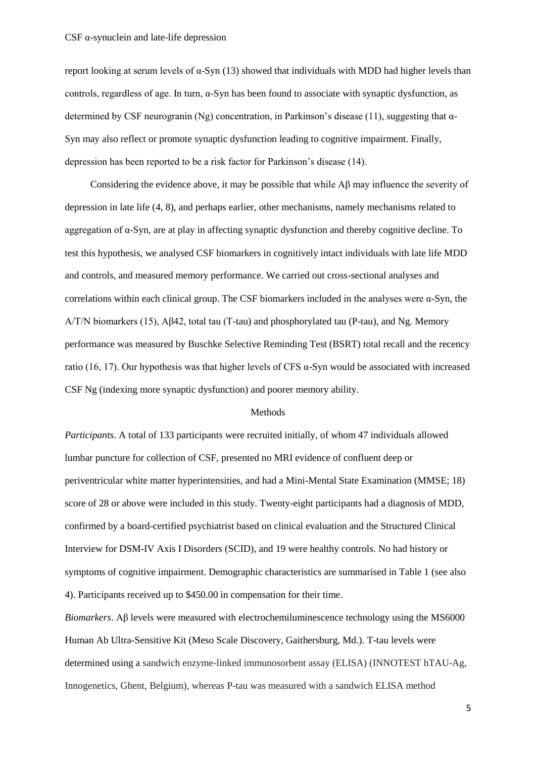report looking at serum levels of α-Syn  $(13)$  showed that individuals with MDD had higher levels than controls, regardless of age. In turn,  $\alpha$ -Syn has been found to associate with synaptic dysfunction, as determined by CSF neurogranin (Ng) concentration, in Parkinson's disease (11), suggesting that  $\alpha$ -Syn may also reflect or promote synaptic dysfunction leading to cognitive impairment. Finally, depression has been reported to be a risk factor for Parkinson's disease (14).

Considering the evidence above, it may be possible that while Aβ may influence the severity of depression in late life (4, 8), and perhaps earlier, other mechanisms, namely mechanisms related to aggregation of α-Syn, are at play in affecting synaptic dysfunction and thereby cognitive decline. To test this hypothesis, we analysed CSF biomarkers in cognitively intact individuals with late life MDD and controls, and measured memory performance. We carried out cross-sectional analyses and correlations within each clinical group. The CSF biomarkers included in the analyses were  $\alpha$ -Syn, the A/T/N biomarkers (15), Aβ42, total tau (T-tau) and phosphorylated tau (P-tau), and Ng. Memory performance was measured by Buschke Selective Reminding Test (BSRT) total recall and the recency ratio (16, 17). Our hypothesis was that higher levels of CFS α-Syn would be associated with increased CSF Ng (indexing more synaptic dysfunction) and poorer memory ability.

# Methods

*Participants*. A total of 133 participants were recruited initially, of whom 47 individuals allowed lumbar puncture for collection of CSF, presented no MRI evidence of confluent deep or periventricular white matter hyperintensities, and had a Mini-Mental State Examination (MMSE; 18) score of 28 or above were included in this study. Twenty-eight participants had a diagnosis of MDD, confirmed by a board-certified psychiatrist based on clinical evaluation and the Structured Clinical Interview for DSM-IV Axis I Disorders (SCID), and 19 were healthy controls. No had history or symptoms of cognitive impairment. Demographic characteristics are summarised in Table 1 (see also 4). Participants received up to \$450.00 in compensation for their time.

*Biomarkers*. Aβ levels were measured with electrochemiluminescence technology using the MS6000 Human Ab Ultra-Sensitive Kit (Meso Scale Discovery, Gaithersburg, Md.). T-tau levels were determined using a sandwich enzyme-linked immunosorbent assay (ELISA) (INNOTEST hTAU-Ag, Innogenetics, Ghent, Belgium), whereas P-tau was measured with a sandwich ELISA method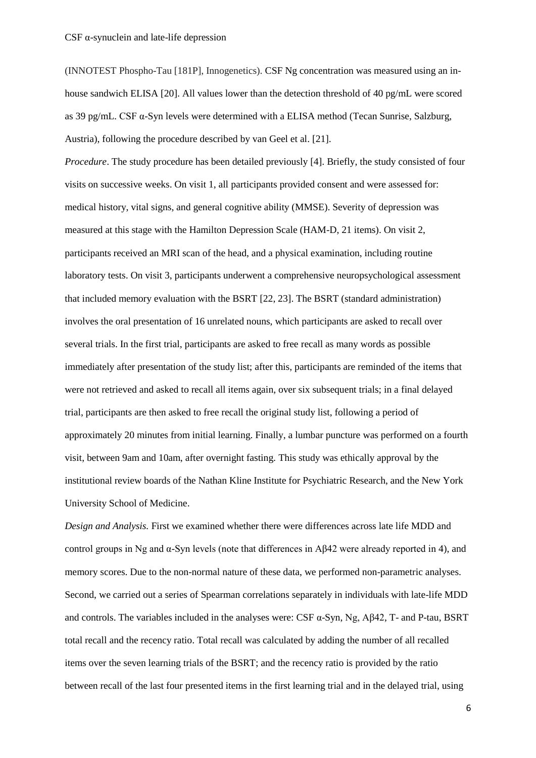(INNOTEST Phospho-Tau [181P], Innogenetics). CSF Ng concentration was measured using an inhouse sandwich ELISA [20]. All values lower than the detection threshold of 40 pg/mL were scored as 39 pg/mL. CSF α-Syn levels were determined with a ELISA method (Tecan Sunrise, Salzburg, Austria), following the procedure described by van Geel et al. [21].

*Procedure*. The study procedure has been detailed previously [4]. Briefly, the study consisted of four visits on successive weeks. On visit 1, all participants provided consent and were assessed for: medical history, vital signs, and general cognitive ability (MMSE). Severity of depression was measured at this stage with the Hamilton Depression Scale (HAM-D, 21 items). On visit 2, participants received an MRI scan of the head, and a physical examination, including routine laboratory tests. On visit 3, participants underwent a comprehensive neuropsychological assessment that included memory evaluation with the BSRT [22, 23]. The BSRT (standard administration) involves the oral presentation of 16 unrelated nouns, which participants are asked to recall over several trials. In the first trial, participants are asked to free recall as many words as possible immediately after presentation of the study list; after this, participants are reminded of the items that were not retrieved and asked to recall all items again, over six subsequent trials; in a final delayed trial, participants are then asked to free recall the original study list, following a period of approximately 20 minutes from initial learning. Finally, a lumbar puncture was performed on a fourth visit, between 9am and 10am, after overnight fasting. This study was ethically approval by the institutional review boards of the Nathan Kline Institute for Psychiatric Research, and the New York University School of Medicine.

*Design and Analysis.* First we examined whether there were differences across late life MDD and control groups in Ng and α-Syn levels (note that differences in Aβ42 were already reported in 4), and memory scores. Due to the non-normal nature of these data, we performed non-parametric analyses. Second, we carried out a series of Spearman correlations separately in individuals with late-life MDD and controls. The variables included in the analyses were: CSF  $\alpha$ -Syn, Ng, A $\beta$ 42, T- and P-tau, BSRT total recall and the recency ratio. Total recall was calculated by adding the number of all recalled items over the seven learning trials of the BSRT; and the recency ratio is provided by the ratio between recall of the last four presented items in the first learning trial and in the delayed trial, using

6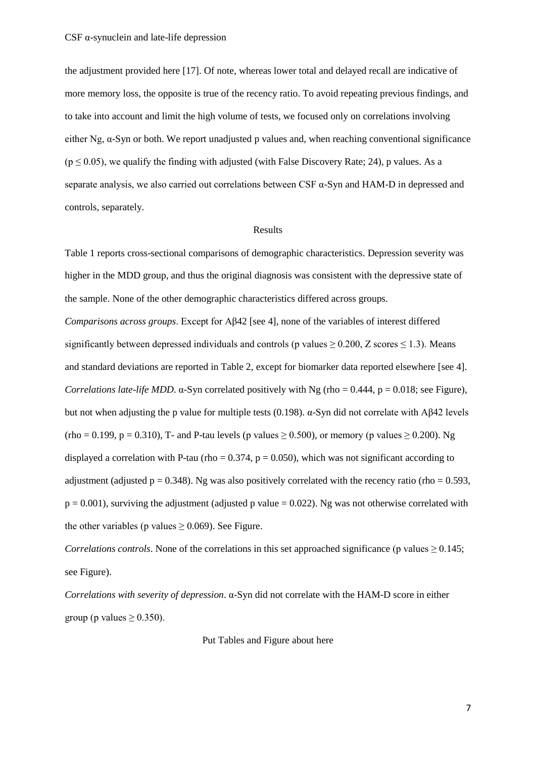the adjustment provided here [17]. Of note, whereas lower total and delayed recall are indicative of more memory loss, the opposite is true of the recency ratio. To avoid repeating previous findings, and to take into account and limit the high volume of tests, we focused only on correlations involving either Ng, α-Syn or both. We report unadjusted p values and, when reaching conventional significance  $(p \le 0.05)$ , we qualify the finding with adjusted (with False Discovery Rate; 24), p values. As a separate analysis, we also carried out correlations between CSF  $\alpha$ -Syn and HAM-D in depressed and controls, separately.

## Results

Table 1 reports cross-sectional comparisons of demographic characteristics. Depression severity was higher in the MDD group, and thus the original diagnosis was consistent with the depressive state of the sample. None of the other demographic characteristics differed across groups. *Comparisons across groups*. Except for Aβ42 [see 4], none of the variables of interest differed significantly between depressed individuals and controls (p values  $\geq$  0.200, Z scores  $\leq$  1.3). Means and standard deviations are reported in Table 2, except for biomarker data reported elsewhere [see 4]. *Correlations late-life MDD.*  $\alpha$ -Syn correlated positively with Ng (rho = 0.444, p = 0.018; see Figure), but not when adjusting the p value for multiple tests (0.198). α-Syn did not correlate with Aβ42 levels  $(rho = 0.199, p = 0.310)$ , T- and P-tau levels (p values  $\geq 0.500$ ), or memory (p values  $\geq 0.200$ ). Ng displayed a correlation with P-tau (rho =  $0.374$ , p =  $0.050$ ), which was not significant according to adjustment (adjusted  $p = 0.348$ ). Ng was also positively correlated with the recency ratio (rho = 0.593,  $p = 0.001$ ), surviving the adjustment (adjusted p value = 0.022). Ng was not otherwise correlated with the other variables (p values  $\geq$  0.069). See Figure.

*Correlations controls*. None of the correlations in this set approached significance (p values  $\geq 0.145$ ; see Figure).

*Correlations with severity of depression*. α-Syn did not correlate with the HAM-D score in either group (p values  $\geq$  0.350).

Put Tables and Figure about here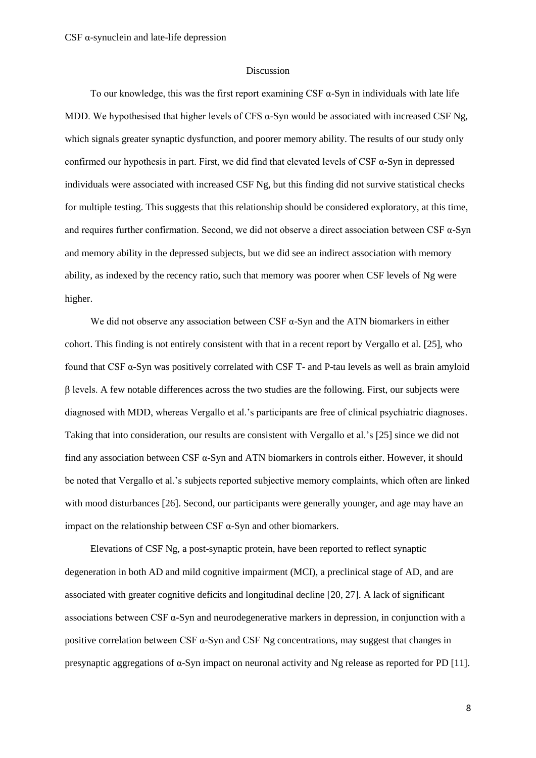## Discussion

To our knowledge, this was the first report examining CSF  $\alpha$ -Syn in individuals with late life MDD. We hypothesised that higher levels of CFS  $\alpha$ -Syn would be associated with increased CSF Ng, which signals greater synaptic dysfunction, and poorer memory ability. The results of our study only confirmed our hypothesis in part. First, we did find that elevated levels of CSF α-Syn in depressed individuals were associated with increased CSF Ng, but this finding did not survive statistical checks for multiple testing. This suggests that this relationship should be considered exploratory, at this time, and requires further confirmation. Second, we did not observe a direct association between CSF  $\alpha$ -Syn and memory ability in the depressed subjects, but we did see an indirect association with memory ability, as indexed by the recency ratio, such that memory was poorer when CSF levels of Ng were higher.

We did not observe any association between CSF  $\alpha$ -Syn and the ATN biomarkers in either cohort. This finding is not entirely consistent with that in a recent report by Vergallo et al. [25], who found that CSF α-Syn was positively correlated with CSF T- and P-tau levels as well as brain amyloid β levels. A few notable differences across the two studies are the following. First, our subjects were diagnosed with MDD, whereas Vergallo et al.'s participants are free of clinical psychiatric diagnoses. Taking that into consideration, our results are consistent with Vergallo et al.'s [25] since we did not find any association between CSF α-Syn and ATN biomarkers in controls either. However, it should be noted that Vergallo et al.'s subjects reported subjective memory complaints, which often are linked with mood disturbances [26]. Second, our participants were generally younger, and age may have an impact on the relationship between CSF α-Syn and other biomarkers.

Elevations of CSF Ng, a post-synaptic protein, have been reported to reflect synaptic degeneration in both AD and mild cognitive impairment (MCI), a preclinical stage of AD, and are associated with greater cognitive deficits and longitudinal decline [20, 27]. A lack of significant associations between CSF α-Syn and neurodegenerative markers in depression, in conjunction with a positive correlation between CSF α-Syn and CSF Ng concentrations, may suggest that changes in presynaptic aggregations of α-Syn impact on neuronal activity and Ng release as reported for PD [11].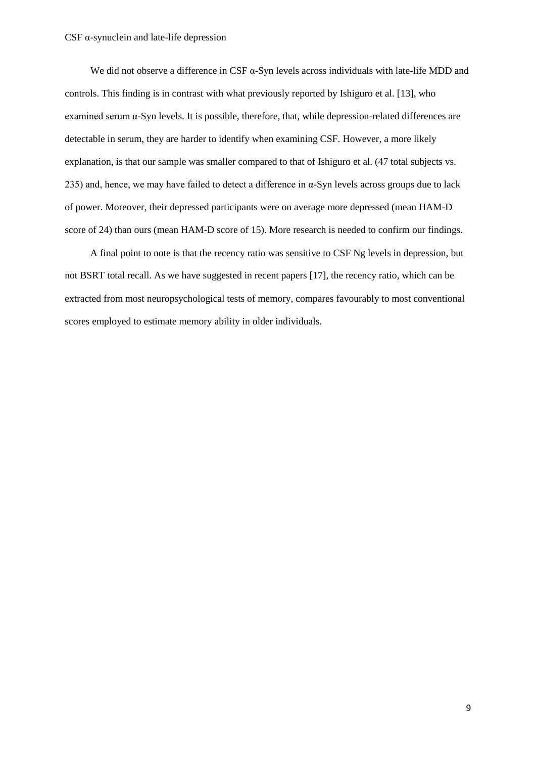We did not observe a difference in CSF  $\alpha$ -Syn levels across individuals with late-life MDD and controls. This finding is in contrast with what previously reported by Ishiguro et al. [13], who examined serum  $\alpha$ -Syn levels. It is possible, therefore, that, while depression-related differences are detectable in serum, they are harder to identify when examining CSF. However, a more likely explanation, is that our sample was smaller compared to that of Ishiguro et al. (47 total subjects vs. 235) and, hence, we may have failed to detect a difference in  $\alpha$ -Syn levels across groups due to lack of power. Moreover, their depressed participants were on average more depressed (mean HAM-D score of 24) than ours (mean HAM-D score of 15). More research is needed to confirm our findings.

A final point to note is that the recency ratio was sensitive to CSF Ng levels in depression, but not BSRT total recall. As we have suggested in recent papers [17], the recency ratio, which can be extracted from most neuropsychological tests of memory, compares favourably to most conventional scores employed to estimate memory ability in older individuals.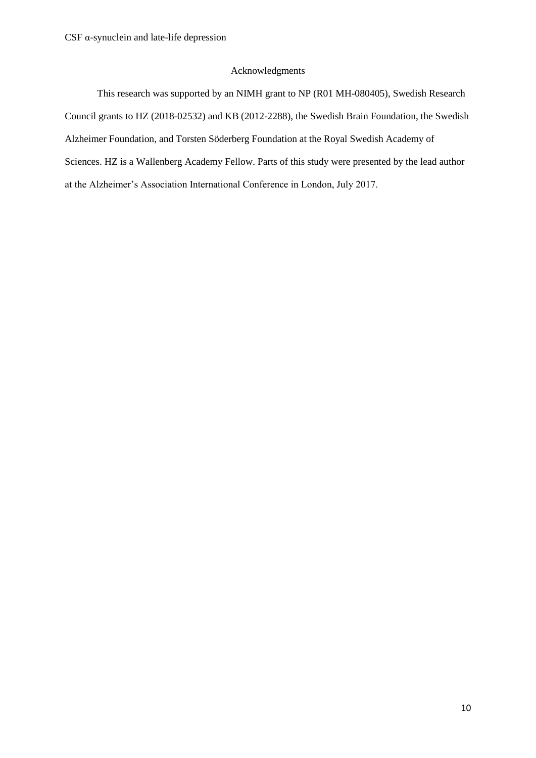# Acknowledgments

This research was supported by an NIMH grant to NP (R01 MH-080405), Swedish Research Council grants to HZ (2018-02532) and KB (2012-2288), the Swedish Brain Foundation, the Swedish Alzheimer Foundation, and Torsten Söderberg Foundation at the Royal Swedish Academy of Sciences. HZ is a Wallenberg Academy Fellow. Parts of this study were presented by the lead author at the Alzheimer's Association International Conference in London, July 2017.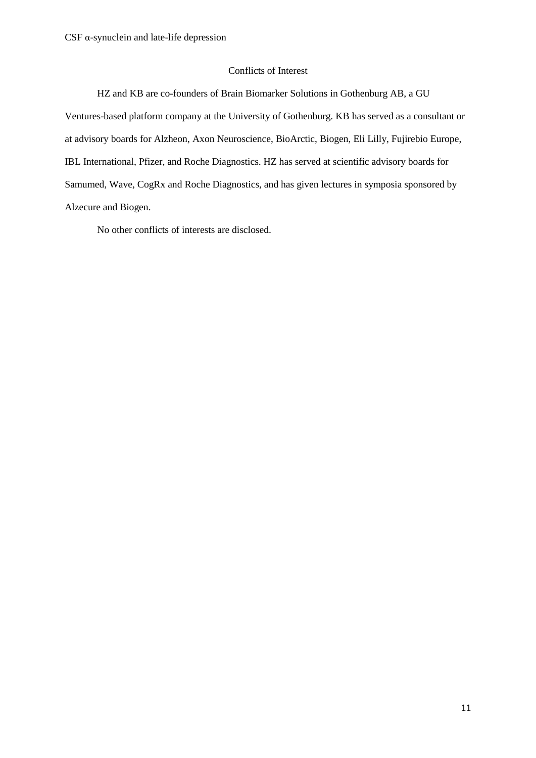# Conflicts of Interest

HZ and KB are co-founders of Brain Biomarker Solutions in Gothenburg AB, a GU Ventures-based platform company at the University of Gothenburg. KB has served as a consultant or at advisory boards for Alzheon, Axon Neuroscience, BioArctic, Biogen, Eli Lilly, Fujirebio Europe, IBL International, Pfizer, and Roche Diagnostics. HZ has served at scientific advisory boards for Samumed, Wave, CogRx and Roche Diagnostics, and has given lectures in symposia sponsored by Alzecure and Biogen.

No other conflicts of interests are disclosed.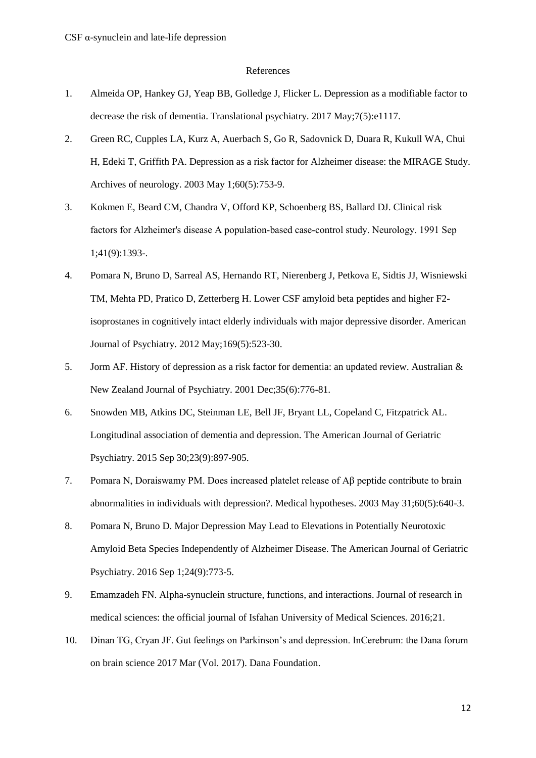## References

- 1. Almeida OP, Hankey GJ, Yeap BB, Golledge J, Flicker L. Depression as a modifiable factor to decrease the risk of dementia. Translational psychiatry. 2017 May;7(5):e1117.
- 2. Green RC, Cupples LA, Kurz A, Auerbach S, Go R, Sadovnick D, Duara R, Kukull WA, Chui H, Edeki T, Griffith PA. Depression as a risk factor for Alzheimer disease: the MIRAGE Study. Archives of neurology. 2003 May 1;60(5):753-9.
- 3. Kokmen E, Beard CM, Chandra V, Offord KP, Schoenberg BS, Ballard DJ. Clinical risk factors for Alzheimer's disease A population-based case-control study. Neurology. 1991 Sep 1;41(9):1393-.
- 4. Pomara N, Bruno D, Sarreal AS, Hernando RT, Nierenberg J, Petkova E, Sidtis JJ, Wisniewski TM, Mehta PD, Pratico D, Zetterberg H. Lower CSF amyloid beta peptides and higher F2 isoprostanes in cognitively intact elderly individuals with major depressive disorder. American Journal of Psychiatry. 2012 May;169(5):523-30.
- 5. Jorm AF. History of depression as a risk factor for dementia: an updated review. Australian & New Zealand Journal of Psychiatry. 2001 Dec;35(6):776-81.
- 6. Snowden MB, Atkins DC, Steinman LE, Bell JF, Bryant LL, Copeland C, Fitzpatrick AL. Longitudinal association of dementia and depression. The American Journal of Geriatric Psychiatry. 2015 Sep 30;23(9):897-905.
- 7. Pomara N, Doraiswamy PM. Does increased platelet release of Aβ peptide contribute to brain abnormalities in individuals with depression?. Medical hypotheses. 2003 May 31;60(5):640-3.
- 8. Pomara N, Bruno D. Major Depression May Lead to Elevations in Potentially Neurotoxic Amyloid Beta Species Independently of Alzheimer Disease. The American Journal of Geriatric Psychiatry. 2016 Sep 1;24(9):773-5.
- 9. Emamzadeh FN. Alpha-synuclein structure, functions, and interactions. Journal of research in medical sciences: the official journal of Isfahan University of Medical Sciences. 2016;21.
- 10. Dinan TG, Cryan JF. Gut feelings on Parkinson's and depression. InCerebrum: the Dana forum on brain science 2017 Mar (Vol. 2017). Dana Foundation.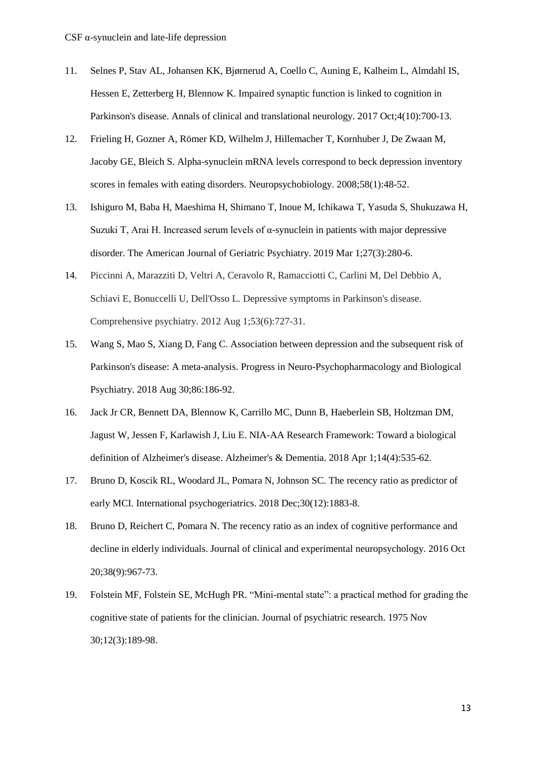- 11. Selnes P, Stav AL, Johansen KK, Bjørnerud A, Coello C, Auning E, Kalheim L, Almdahl IS, Hessen E, Zetterberg H, Blennow K. Impaired synaptic function is linked to cognition in Parkinson's disease. Annals of clinical and translational neurology. 2017 Oct;4(10):700-13.
- 12. Frieling H, Gozner A, Römer KD, Wilhelm J, Hillemacher T, Kornhuber J, De Zwaan M, Jacoby GE, Bleich S. Alpha-synuclein mRNA levels correspond to beck depression inventory scores in females with eating disorders. Neuropsychobiology. 2008;58(1):48-52.
- 13. Ishiguro M, Baba H, Maeshima H, Shimano T, Inoue M, Ichikawa T, Yasuda S, Shukuzawa H, Suzuki T, Arai H. Increased serum levels of  $\alpha$ -synuclein in patients with major depressive disorder. The American Journal of Geriatric Psychiatry. 2019 Mar 1;27(3):280-6.
- 14. Piccinni A, Marazziti D, Veltri A, Ceravolo R, Ramacciotti C, Carlini M, Del Debbio A, Schiavi E, Bonuccelli U, Dell'Osso L. Depressive symptoms in Parkinson's disease. Comprehensive psychiatry. 2012 Aug 1;53(6):727-31.
- 15. Wang S, Mao S, Xiang D, Fang C. Association between depression and the subsequent risk of Parkinson's disease: A meta-analysis. Progress in Neuro-Psychopharmacology and Biological Psychiatry. 2018 Aug 30;86:186-92.
- 16. Jack Jr CR, Bennett DA, Blennow K, Carrillo MC, Dunn B, Haeberlein SB, Holtzman DM, Jagust W, Jessen F, Karlawish J, Liu E. NIA-AA Research Framework: Toward a biological definition of Alzheimer's disease. Alzheimer's & Dementia. 2018 Apr 1;14(4):535-62.
- 17. Bruno D, Koscik RL, Woodard JL, Pomara N, Johnson SC. The recency ratio as predictor of early MCI. International psychogeriatrics. 2018 Dec;30(12):1883-8.
- 18. Bruno D, Reichert C, Pomara N. The recency ratio as an index of cognitive performance and decline in elderly individuals. Journal of clinical and experimental neuropsychology. 2016 Oct 20;38(9):967-73.
- 19. Folstein MF, Folstein SE, McHugh PR. "Mini-mental state": a practical method for grading the cognitive state of patients for the clinician. Journal of psychiatric research. 1975 Nov 30;12(3):189-98.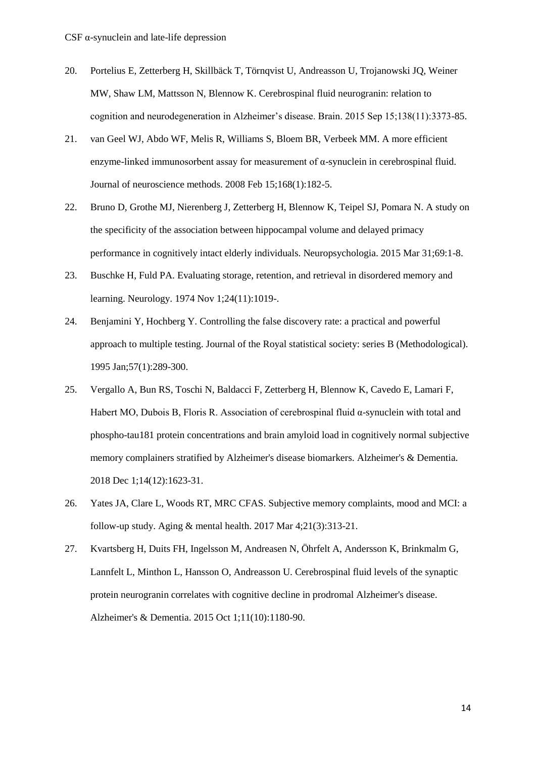- 20. Portelius E, Zetterberg H, Skillbäck T, Törnqvist U, Andreasson U, Trojanowski JQ, Weiner MW, Shaw LM, Mattsson N, Blennow K. Cerebrospinal fluid neurogranin: relation to cognition and neurodegeneration in Alzheimer's disease. Brain. 2015 Sep 15;138(11):3373-85.
- 21. van Geel WJ, Abdo WF, Melis R, Williams S, Bloem BR, Verbeek MM. A more efficient enzyme-linked immunosorbent assay for measurement of  $\alpha$ -synuclein in cerebrospinal fluid. Journal of neuroscience methods. 2008 Feb 15;168(1):182-5.
- 22. Bruno D, Grothe MJ, Nierenberg J, Zetterberg H, Blennow K, Teipel SJ, Pomara N. A study on the specificity of the association between hippocampal volume and delayed primacy performance in cognitively intact elderly individuals. Neuropsychologia. 2015 Mar 31;69:1-8.
- 23. Buschke H, Fuld PA. Evaluating storage, retention, and retrieval in disordered memory and learning. Neurology. 1974 Nov 1;24(11):1019-.
- 24. Benjamini Y, Hochberg Y. Controlling the false discovery rate: a practical and powerful approach to multiple testing. Journal of the Royal statistical society: series B (Methodological). 1995 Jan;57(1):289-300.
- 25. Vergallo A, Bun RS, Toschi N, Baldacci F, Zetterberg H, Blennow K, Cavedo E, Lamari F, Habert MO, Dubois B, Floris R. Association of cerebrospinal fluid α-synuclein with total and phospho-tau181 protein concentrations and brain amyloid load in cognitively normal subjective memory complainers stratified by Alzheimer's disease biomarkers. Alzheimer's & Dementia. 2018 Dec 1;14(12):1623-31.
- 26. Yates JA, Clare L, Woods RT, MRC CFAS. Subjective memory complaints, mood and MCI: a follow-up study. Aging  $&$  mental health. 2017 Mar 4;21(3):313-21.
- 27. Kvartsberg H, Duits FH, Ingelsson M, Andreasen N, Öhrfelt A, Andersson K, Brinkmalm G, Lannfelt L, Minthon L, Hansson O, Andreasson U. Cerebrospinal fluid levels of the synaptic protein neurogranin correlates with cognitive decline in prodromal Alzheimer's disease. Alzheimer's & Dementia. 2015 Oct 1;11(10):1180-90.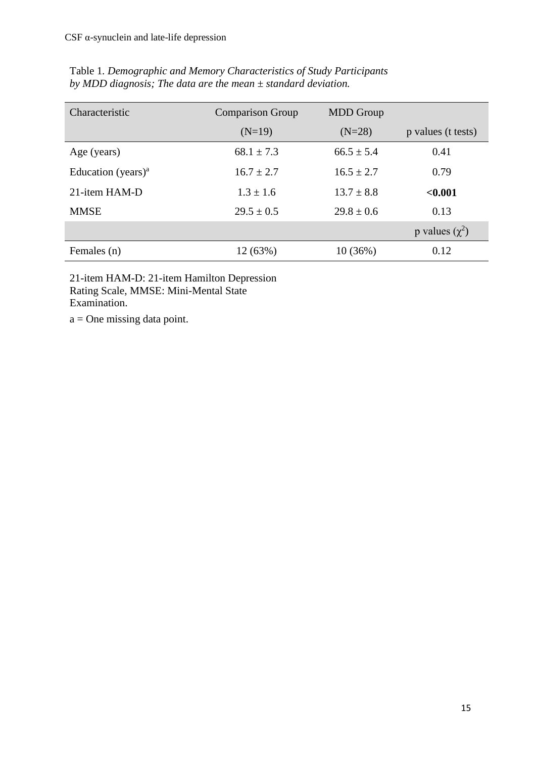| Characteristic                              | <b>Comparison Group</b> | <b>MDD</b> Group |                     |
|---------------------------------------------|-------------------------|------------------|---------------------|
|                                             | $(N=19)$                | $(N=28)$         | p values (t tests)  |
| Age (years)                                 | $68.1 \pm 7.3$          | $66.5 \pm 5.4$   | 0.41                |
| Education (years) <sup><math>a</math></sup> | $16.7 \pm 2.7$          | $16.5 + 2.7$     | 0.79                |
| 21-item HAM-D                               | $1.3 + 1.6$             | $13.7 \pm 8.8$   | < 0.001             |
| <b>MMSE</b>                                 | $29.5 \pm 0.5$          | $29.8 \pm 0.6$   | 0.13                |
|                                             |                         |                  | p values $(\chi^2)$ |
| Females (n)                                 | 12 (63%)                | 10(36%)          | 0.12                |

Table 1*. Demographic and Memory Characteristics of Study Participants by MDD diagnosis; The data are the mean ± standard deviation.*

21-item HAM-D: 21-item Hamilton Depression Rating Scale, MMSE: Mini-Mental State Examination.

a = One missing data point.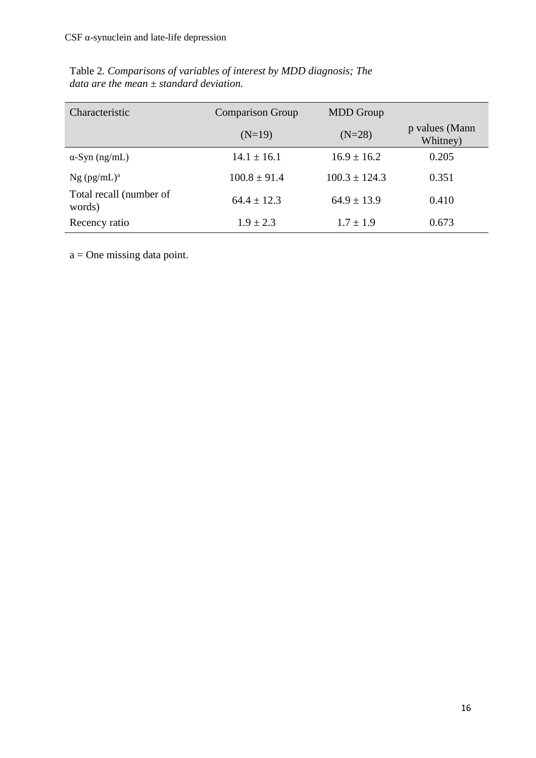| Characteristic                    | <b>Comparison Group</b> | <b>MDD</b> Group  |                            |
|-----------------------------------|-------------------------|-------------------|----------------------------|
|                                   | $(N=19)$                | $(N=28)$          | p values (Mann<br>Whitney) |
| $\alpha$ -Syn (ng/mL)             | $14.1 \pm 16.1$         | $16.9 \pm 16.2$   | 0.205                      |
| $Ng$ (pg/mL) <sup>a</sup>         | $100.8 \pm 91.4$        | $100.3 \pm 124.3$ | 0.351                      |
| Total recall (number of<br>words) | $64.4 \pm 12.3$         | $64.9 \pm 13.9$   | 0.410                      |
| Recency ratio                     | $1.9 \pm 2.3$           | $1.7 \pm 1.9$     | 0.673                      |

Table 2*. Comparisons of variables of interest by MDD diagnosis; The data are the mean ± standard deviation.*

a = One missing data point.